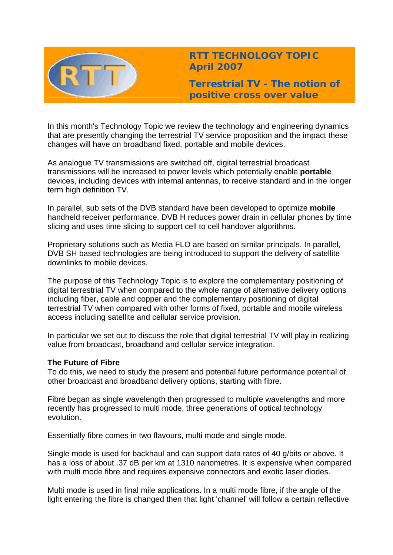

**RTT TECHNOLOGY TOPIC April 2007**

**Terrestrial TV - The notion of positive cross over value** 

In this month's Technology Topic we review the technology and engineering dynamics that are presently changing the terrestrial TV service proposition and the impact these changes will have on broadband fixed, portable and mobile devices.

As analogue TV transmissions are switched off, digital terrestrial broadcast transmissions will be increased to power levels which potentially enable **portable** devices, including devices with internal antennas, to receive standard and in the longer term high definition TV.

In parallel, sub sets of the DVB standard have been developed to optimize **mobile** handheld receiver performance. DVB H reduces power drain in cellular phones by time slicing and uses time slicing to support cell to cell handover algorithms.

Proprietary solutions such as Media FLO are based on similar principals. In parallel, DVB SH based technologies are being introduced to support the delivery of satellite downlinks to mobile devices.

The purpose of this Technology Topic is to explore the complementary positioning of digital terrestrial TV when compared to the whole range of alternative delivery options including fiber, cable and copper and the complementary positioning of digital terrestrial TV when compared with other forms of fixed, portable and mobile wireless access including satellite and cellular service provision.

In particular we set out to discuss the role that digital terrestrial TV will play in realizing value from broadcast, broadband and cellular service integration.

# **The Future of Fibre**

To do this, we need to study the present and potential future performance potential of other broadcast and broadband delivery options, starting with fibre.

Fibre began as single wavelength then progressed to multiple wavelengths and more recently has progressed to multi mode, three generations of optical technology evolution.

Essentially fibre comes in two flavours, multi mode and single mode.

Single mode is used for backhaul and can support data rates of 40 g/bits or above. It has a loss of about .37 dB per km at 1310 nanometres. It is expensive when compared with multi mode fibre and requires expensive connectors and exotic laser diodes.

Multi mode is used in final mile applications. In a multi mode fibre, if the angle of the light entering the fibre is changed then that light 'channel' will follow a certain reflective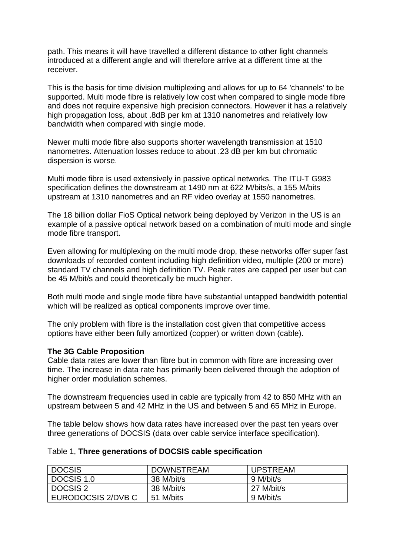path. This means it will have travelled a different distance to other light channels introduced at a different angle and will therefore arrive at a different time at the receiver.

This is the basis for time division multiplexing and allows for up to 64 'channels' to be supported. Multi mode fibre is relatively low cost when compared to single mode fibre and does not require expensive high precision connectors. However it has a relatively high propagation loss, about .8dB per km at 1310 nanometres and relatively low bandwidth when compared with single mode.

Newer multi mode fibre also supports shorter wavelength transmission at 1510 nanometres. Attenuation losses reduce to about .23 dB per km but chromatic dispersion is worse.

Multi mode fibre is used extensively in passive optical networks. The ITU-T G983 specification defines the downstream at 1490 nm at 622 M/bits/s, a 155 M/bits upstream at 1310 nanometres and an RF video overlay at 1550 nanometres.

The 18 billion dollar FioS Optical network being deployed by Verizon in the US is an example of a passive optical network based on a combination of multi mode and single mode fibre transport.

Even allowing for multiplexing on the multi mode drop, these networks offer super fast downloads of recorded content including high definition video, multiple (200 or more) standard TV channels and high definition TV. Peak rates are capped per user but can be 45 M/bit/s and could theoretically be much higher.

Both multi mode and single mode fibre have substantial untapped bandwidth potential which will be realized as optical components improve over time.

The only problem with fibre is the installation cost given that competitive access options have either been fully amortized (copper) or written down (cable).

# **The 3G Cable Proposition**

Cable data rates are lower than fibre but in common with fibre are increasing over time. The increase in data rate has primarily been delivered through the adoption of higher order modulation schemes.

The downstream frequencies used in cable are typically from 42 to 850 MHz with an upstream between 5 and 42 MHz in the US and between 5 and 65 MHz in Europe.

The table below shows how data rates have increased over the past ten years over three generations of DOCSIS (data over cable service interface specification).

#### Table 1, **Three generations of DOCSIS cable specification**

| <b>DOCSIS</b>      | <b>DOWNSTREAM</b> | <b>UPSTREAM</b> |
|--------------------|-------------------|-----------------|
| DOCSIS 1.0         | 38 M/bit/s        | 9 M/bit/s       |
| <b>DOCSIS 2</b>    | 38 M/bit/s        | 27 M/bit/s      |
| EURODOCSIS 2/DVB C | 51 M/bits         | 9 M/bit/s       |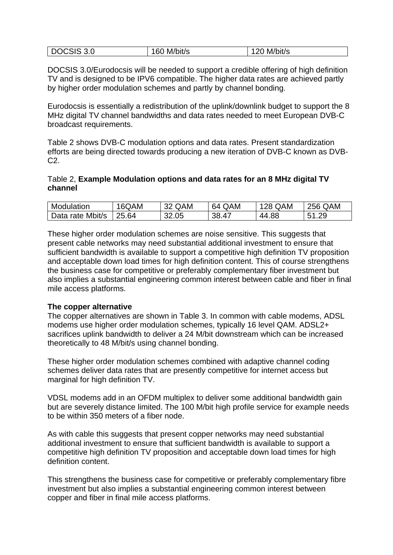| DOCSIS 3.0 | M/bit/s<br>160 | 120 M/bit/s |
|------------|----------------|-------------|
|------------|----------------|-------------|

DOCSIS 3.0/Eurodocsis will be needed to support a credible offering of high definition TV and is designed to be IPV6 compatible. The higher data rates are achieved partly by higher order modulation schemes and partly by channel bonding.

Eurodocsis is essentially a redistribution of the uplink/downlink budget to support the 8 MHz digital TV channel bandwidths and data rates needed to meet European DVB-C broadcast requirements.

Table 2 shows DVB-C modulation options and data rates. Present standardization efforts are being directed towards producing a new iteration of DVB-C known as DVB-C2.

### Table 2, **Example Modulation options and data rates for an 8 MHz digital TV channel**

| Modulation       | 16QAM | 32 QAM | 64 QAM | <b>128 QAM</b> | <b>256 QAM</b> |
|------------------|-------|--------|--------|----------------|----------------|
| Data rate Mbit/s | 25.64 | 32.05  | 38.47  | 44.88          | 51.29          |

These higher order modulation schemes are noise sensitive. This suggests that present cable networks may need substantial additional investment to ensure that sufficient bandwidth is available to support a competitive high definition TV proposition and acceptable down load times for high definition content. This of course strengthens the business case for competitive or preferably complementary fiber investment but also implies a substantial engineering common interest between cable and fiber in final mile access platforms.

# **The copper alternative**

The copper alternatives are shown in Table 3. In common with cable modems, ADSL modems use higher order modulation schemes, typically 16 level QAM. ADSL2+ sacrifices uplink bandwidth to deliver a 24 M/bit downstream which can be increased theoretically to 48 M/bit/s using channel bonding.

These higher order modulation schemes combined with adaptive channel coding schemes deliver data rates that are presently competitive for internet access but marginal for high definition TV.

VDSL modems add in an OFDM multiplex to deliver some additional bandwidth gain but are severely distance limited. The 100 M/bit high profile service for example needs to be within 350 meters of a fiber node.

As with cable this suggests that present copper networks may need substantial additional investment to ensure that sufficient bandwidth is available to support a competitive high definition TV proposition and acceptable down load times for high definition content.

This strengthens the business case for competitive or preferably complementary fibre investment but also implies a substantial engineering common interest between copper and fiber in final mile access platforms.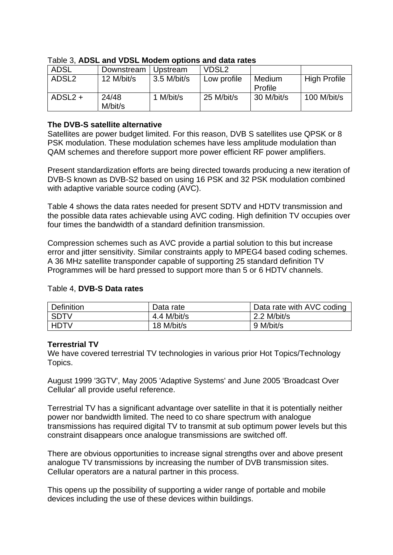| <b>ADSL</b>       | Downstream       | Upstream      | VDSL <sub>2</sub> |                   |                     |
|-------------------|------------------|---------------|-------------------|-------------------|---------------------|
| ADSL <sub>2</sub> | 12 M/bit/s       | $3.5$ M/bit/s | Low profile       | Medium<br>Profile | <b>High Profile</b> |
| $ADSL2 +$         | 24/48<br>M/bit/s | 1 M/bit/s     | 25 M/bit/s        | 30 M/bit/s        | $100$ M/bit/s       |

### Table 3, **ADSL and VDSL Modem options and data rates**

### **The DVB-S satellite alternative**

Satellites are power budget limited. For this reason, DVB S satellites use QPSK or 8 PSK modulation. These modulation schemes have less amplitude modulation than QAM schemes and therefore support more power efficient RF power amplifiers.

Present standardization efforts are being directed towards producing a new iteration of DVB-S known as DVB-S2 based on using 16 PSK and 32 PSK modulation combined with adaptive variable source coding (AVC).

Table 4 shows the data rates needed for present SDTV and HDTV transmission and the possible data rates achievable using AVC coding. High definition TV occupies over four times the bandwidth of a standard definition transmission.

Compression schemes such as AVC provide a partial solution to this but increase error and jitter sensitivity. Similar constraints apply to MPEG4 based coding schemes. A 36 MHz satellite transponder capable of supporting 25 standard definition TV Programmes will be hard pressed to support more than 5 or 6 HDTV channels.

| <b>Definition</b> | Data rate   | Data rate with AVC coding |
|-------------------|-------------|---------------------------|
| <b>SDTV</b>       | 4.4 M/bit/s | $2.2$ M/bit/s             |
| <b>HDTV</b>       | 18 M/bit/s  | 9 M/bit/s                 |

#### Table 4, **DVB-S Data rates**

# **Terrestrial TV**

We have covered terrestrial TV technologies in various prior Hot Topics/Technology Topics.

August 1999 '3GTV', May 2005 'Adaptive Systems' and June 2005 'Broadcast Over Cellular' all provide useful reference.

Terrestrial TV has a significant advantage over satellite in that it is potentially neither power nor bandwidth limited. The need to co share spectrum with analogue transmissions has required digital TV to transmit at sub optimum power levels but this constraint disappears once analogue transmissions are switched off.

There are obvious opportunities to increase signal strengths over and above present analogue TV transmissions by increasing the number of DVB transmission sites. Cellular operators are a natural partner in this process.

This opens up the possibility of supporting a wider range of portable and mobile devices including the use of these devices within buildings.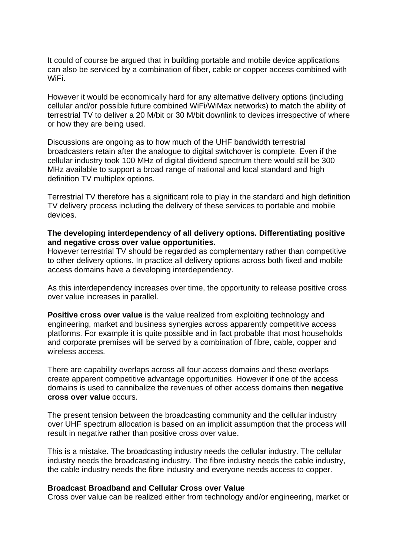It could of course be argued that in building portable and mobile device applications can also be serviced by a combination of fiber, cable or copper access combined with WiFi.

However it would be economically hard for any alternative delivery options (including cellular and/or possible future combined WiFi/WiMax networks) to match the ability of terrestrial TV to deliver a 20 M/bit or 30 M/bit downlink to devices irrespective of where or how they are being used.

Discussions are ongoing as to how much of the UHF bandwidth terrestrial broadcasters retain after the analogue to digital switchover is complete. Even if the cellular industry took 100 MHz of digital dividend spectrum there would still be 300 MHz available to support a broad range of national and local standard and high definition TV multiplex options.

Terrestrial TV therefore has a significant role to play in the standard and high definition TV delivery process including the delivery of these services to portable and mobile devices.

#### **The developing interdependency of all delivery options. Differentiating positive and negative cross over value opportunities.**

However terrestrial TV should be regarded as complementary rather than competitive to other delivery options. In practice all delivery options across both fixed and mobile access domains have a developing interdependency.

As this interdependency increases over time, the opportunity to release positive cross over value increases in parallel.

**Positive cross over value** is the value realized from exploiting technology and engineering, market and business synergies across apparently competitive access platforms. For example it is quite possible and in fact probable that most households and corporate premises will be served by a combination of fibre, cable, copper and wireless access.

There are capability overlaps across all four access domains and these overlaps create apparent competitive advantage opportunities. However if one of the access domains is used to cannibalize the revenues of other access domains then **negative cross over value** occurs.

The present tension between the broadcasting community and the cellular industry over UHF spectrum allocation is based on an implicit assumption that the process will result in negative rather than positive cross over value.

This is a mistake. The broadcasting industry needs the cellular industry. The cellular industry needs the broadcasting industry. The fibre industry needs the cable industry, the cable industry needs the fibre industry and everyone needs access to copper.

#### **Broadcast Broadband and Cellular Cross over Value**

Cross over value can be realized either from technology and/or engineering, market or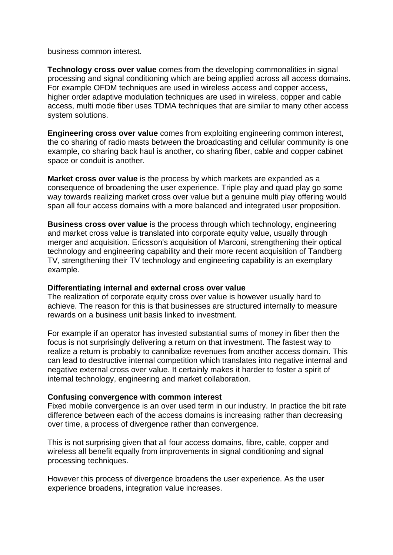business common interest.

**Technology cross over value** comes from the developing commonalities in signal processing and signal conditioning which are being applied across all access domains. For example OFDM techniques are used in wireless access and copper access, higher order adaptive modulation techniques are used in wireless, copper and cable access, multi mode fiber uses TDMA techniques that are similar to many other access system solutions.

**Engineering cross over value** comes from exploiting engineering common interest, the co sharing of radio masts between the broadcasting and cellular community is one example, co sharing back haul is another, co sharing fiber, cable and copper cabinet space or conduit is another.

**Market cross over value** is the process by which markets are expanded as a consequence of broadening the user experience. Triple play and quad play go some way towards realizing market cross over value but a genuine multi play offering would span all four access domains with a more balanced and integrated user proposition.

**Business cross over value** is the process through which technology, engineering and market cross value is translated into corporate equity value, usually through merger and acquisition. Ericsson's acquisition of Marconi, strengthening their optical technology and engineering capability and their more recent acquisition of Tandberg TV, strengthening their TV technology and engineering capability is an exemplary example.

#### **Differentiating internal and external cross over value**

The realization of corporate equity cross over value is however usually hard to achieve. The reason for this is that businesses are structured internally to measure rewards on a business unit basis linked to investment.

For example if an operator has invested substantial sums of money in fiber then the focus is not surprisingly delivering a return on that investment. The fastest way to realize a return is probably to cannibalize revenues from another access domain. This can lead to destructive internal competition which translates into negative internal and negative external cross over value. It certainly makes it harder to foster a spirit of internal technology, engineering and market collaboration.

# **Confusing convergence with common interest**

Fixed mobile convergence is an over used term in our industry. In practice the bit rate difference between each of the access domains is increasing rather than decreasing over time, a process of divergence rather than convergence.

This is not surprising given that all four access domains, fibre, cable, copper and wireless all benefit equally from improvements in signal conditioning and signal processing techniques.

However this process of divergence broadens the user experience. As the user experience broadens, integration value increases.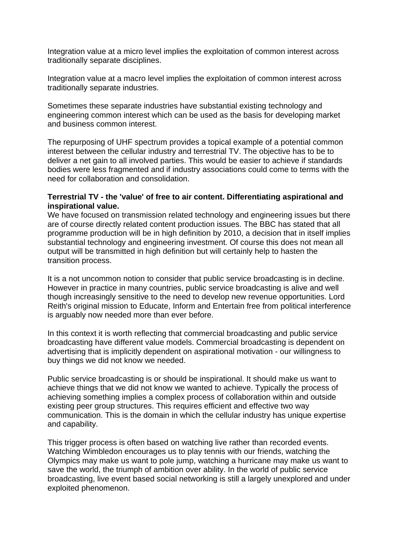Integration value at a micro level implies the exploitation of common interest across traditionally separate disciplines.

Integration value at a macro level implies the exploitation of common interest across traditionally separate industries.

Sometimes these separate industries have substantial existing technology and engineering common interest which can be used as the basis for developing market and business common interest.

The repurposing of UHF spectrum provides a topical example of a potential common interest between the cellular industry and terrestrial TV. The objective has to be to deliver a net gain to all involved parties. This would be easier to achieve if standards bodies were less fragmented and if industry associations could come to terms with the need for collaboration and consolidation.

### **Terrestrial TV - the 'value' of free to air content. Differentiating aspirational and inspirational value.**

We have focused on transmission related technology and engineering issues but there are of course directly related content production issues. The BBC has stated that all programme production will be in high definition by 2010, a decision that in itself implies substantial technology and engineering investment. Of course this does not mean all output will be transmitted in high definition but will certainly help to hasten the transition process.

It is a not uncommon notion to consider that public service broadcasting is in decline. However in practice in many countries, public service broadcasting is alive and well though increasingly sensitive to the need to develop new revenue opportunities. Lord Reith's original mission to Educate, Inform and Entertain free from political interference is arguably now needed more than ever before.

In this context it is worth reflecting that commercial broadcasting and public service broadcasting have different value models. Commercial broadcasting is dependent on advertising that is implicitly dependent on aspirational motivation - our willingness to buy things we did not know we needed.

Public service broadcasting is or should be inspirational. It should make us want to achieve things that we did not know we wanted to achieve. Typically the process of achieving something implies a complex process of collaboration within and outside existing peer group structures. This requires efficient and effective two way communication. This is the domain in which the cellular industry has unique expertise and capability.

This trigger process is often based on watching live rather than recorded events. Watching Wimbledon encourages us to play tennis with our friends, watching the Olympics may make us want to pole jump, watching a hurricane may make us want to save the world, the triumph of ambition over ability. In the world of public service broadcasting, live event based social networking is still a largely unexplored and under exploited phenomenon.